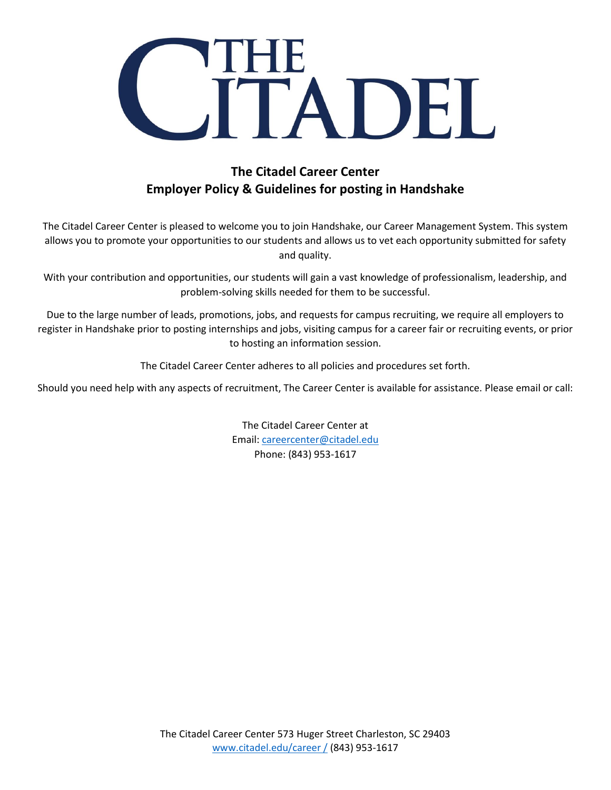

# **The Citadel Career Center Employer Policy & Guidelines for posting in Handshake**

The Citadel Career Center is pleased to welcome you to join Handshake, our Career Management System. This system allows you to promote your opportunities to our students and allows us to vet each opportunity submitted for safety and quality.

With your contribution and opportunities, our students will gain a vast knowledge of professionalism, leadership, and problem-solving skills needed for them to be successful.

Due to the large number of leads, promotions, jobs, and requests for campus recruiting, we require all employers to register in Handshake prior to posting internships and jobs, visiting campus for a career fair or recruiting events, or prior to hosting an information session.

The Citadel Career Center adheres to all policies and procedures set forth.

Should you need help with any aspects of recruitment, The Career Center is available for assistance. Please email or call:

The Citadel Career Center at Email[: careercenter@citadel.edu](mailto:careercenter@citadel.edu) Phone: (843) 953-1617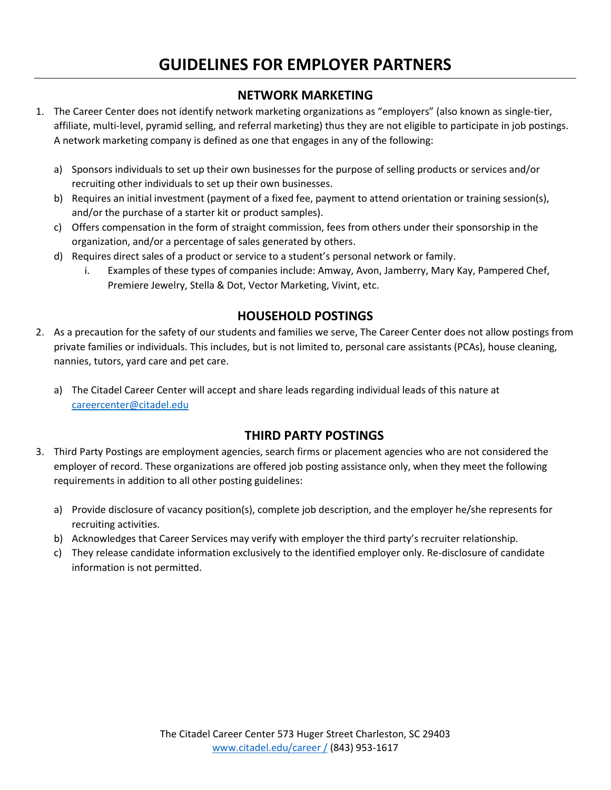# **GUIDELINES FOR EMPLOYER PARTNERS**

### **NETWORK MARKETING**

- 1. The Career Center does not identify network marketing organizations as "employers" (also known as single-tier, affiliate, multi-level, pyramid selling, and referral marketing) thus they are not eligible to participate in job postings. A network marketing company is defined as one that engages in any of the following:
	- a) Sponsors individuals to set up their own businesses for the purpose of selling products or services and/or recruiting other individuals to set up their own businesses.
	- b) Requires an initial investment (payment of a fixed fee, payment to attend orientation or training session(s), and/or the purchase of a starter kit or product samples).
	- c) Offers compensation in the form of straight commission, fees from others under their sponsorship in the organization, and/or a percentage of sales generated by others.
	- d) Requires direct sales of a product or service to a student's personal network or family.
		- i. Examples of these types of companies include: Amway, Avon, Jamberry, Mary Kay, Pampered Chef, Premiere Jewelry, Stella & Dot, Vector Marketing, Vivint, etc.

# **HOUSEHOLD POSTINGS**

- 2. As a precaution for the safety of our students and families we serve, The Career Center does not allow postings from private families or individuals. This includes, but is not limited to, personal care assistants (PCAs), house cleaning, nannies, tutors, yard care and pet care.
	- a) The Citadel Career Center will accept and share leads regarding individual leads of this nature at [careercenter@citadel.edu](mailto:careercenter@citadel.edu)

### **THIRD PARTY POSTINGS**

- 3. Third Party Postings are employment agencies, search firms or placement agencies who are not considered the employer of record. These organizations are offered job posting assistance only, when they meet the following requirements in addition to all other posting guidelines:
	- a) Provide disclosure of vacancy position(s), complete job description, and the employer he/she represents for recruiting activities.
	- b) Acknowledges that Career Services may verify with employer the third party's recruiter relationship.
	- c) They release candidate information exclusively to the identified employer only. Re-disclosure of candidate information is not permitted.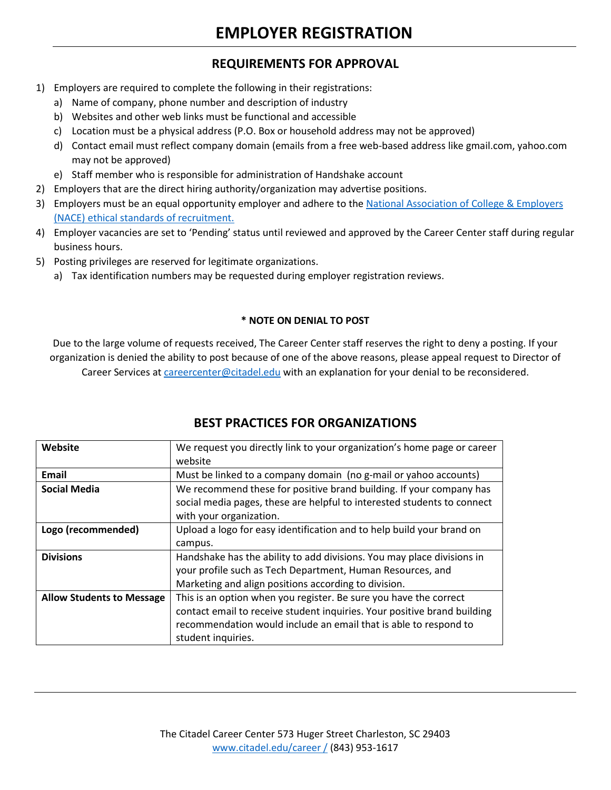# **REQUIREMENTS FOR APPROVAL**

- 1) Employers are required to complete the following in their registrations:
	- a) Name of company, phone number and description of industry
	- b) Websites and other web links must be functional and accessible
	- c) Location must be a physical address (P.O. Box or household address may not be approved)
	- d) Contact email must reflect company domain (emails from a free web-based address like gmail.com, yahoo.com may not be approved)
	- e) Staff member who is responsible for administration of Handshake account
- 2) Employers that are the direct hiring authority/organization may advertise positions.
- 3) Employers must be an equal opportunity employer and adhere to the [National Association of College & Employers](https://www.naceweb.org/career-development/organizational-structure/principles-for-ethical-professional-practice/)  [\(NACE\) ethical standards of recruitment.](https://www.naceweb.org/career-development/organizational-structure/principles-for-ethical-professional-practice/)
- 4) Employer vacancies are set to 'Pending' status until reviewed and approved by the Career Center staff during regular business hours.
- 5) Posting privileges are reserved for legitimate organizations.
	- a) Tax identification numbers may be requested during employer registration reviews.

### **\* NOTE ON DENIAL TO POST**

Due to the large volume of requests received, The Career Center staff reserves the right to deny a posting. If your organization is denied the ability to post because of one of the above reasons, please appeal request to Director of Career Services at [careercenter@citadel.edu](mailto:careercenter@citadel.edu) with an explanation for your denial to be reconsidered.

| Website                          | We request you directly link to your organization's home page or career<br>website |
|----------------------------------|------------------------------------------------------------------------------------|
| Email                            | Must be linked to a company domain (no g-mail or yahoo accounts)                   |
| <b>Social Media</b>              | We recommend these for positive brand building. If your company has                |
|                                  | social media pages, these are helpful to interested students to connect            |
|                                  | with your organization.                                                            |
| Logo (recommended)               | Upload a logo for easy identification and to help build your brand on              |
|                                  | campus.                                                                            |
| <b>Divisions</b>                 | Handshake has the ability to add divisions. You may place divisions in             |
|                                  | your profile such as Tech Department, Human Resources, and                         |
|                                  | Marketing and align positions according to division.                               |
| <b>Allow Students to Message</b> | This is an option when you register. Be sure you have the correct                  |
|                                  | contact email to receive student inquiries. Your positive brand building           |
|                                  | recommendation would include an email that is able to respond to                   |
|                                  | student inquiries.                                                                 |

# **BEST PRACTICES FOR ORGANIZATIONS**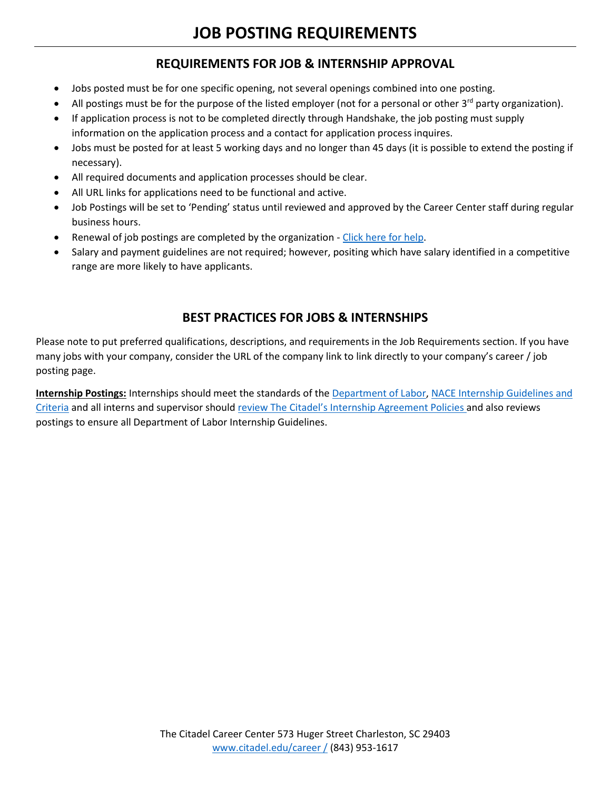# **REQUIREMENTS FOR JOB & INTERNSHIP APPROVAL**

- Jobs posted must be for one specific opening, not several openings combined into one posting.
- All postings must be for the purpose of the listed employer (not for a personal or other 3<sup>rd</sup> party organization).
- If application process is not to be completed directly through Handshake, the job posting must supply information on the application process and a contact for application process inquires.
- Jobs must be posted for at least 5 working days and no longer than 45 days (it is possible to extend the posting if necessary).
- All required documents and application processes should be clear.
- All URL links for applications need to be functional and active.
- Job Postings will be set to 'Pending' status until reviewed and approved by the Career Center staff during regular business hours.
- Renewal of job postings are completed by the organization [Click here for help.](https://support.joinhandshake.com/hc/en-us/categories/202707307-Employer)
- Salary and payment guidelines are not required; however, positing which have salary identified in a competitive range are more likely to have applicants.

# **BEST PRACTICES FOR JOBS & INTERNSHIPS**

Please note to put preferred qualifications, descriptions, and requirements in the Job Requirements section. If you have many jobs with your company, consider the URL of the company link to link directly to your company's career / job posting page.

**Internship Postings:** Internships should meet the standards of the [Department of Labor,](https://www.dol.gov/whd/regs/compliance/whdfs71.htm) [NACE Internship Guidelines and](http://www.naceweb.org/about-us/advocacy/position-statements/position-statement-us-internships/)  [Criteria](http://www.naceweb.org/about-us/advocacy/position-statements/position-statement-us-internships/) and all interns and supervisor should review The Citadel's Internship Agreement Policies and also reviews postings to ensure all Department of Labor Internship Guidelines.